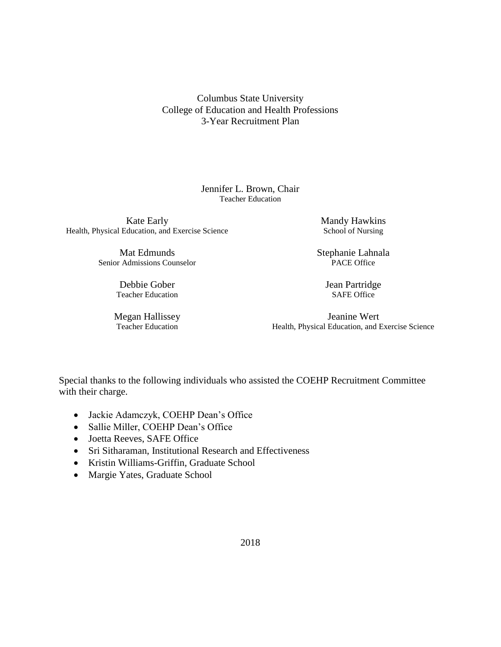Columbus State University College of Education and Health Professions 3-Year Recruitment Plan

> Jennifer L. Brown, Chair Teacher Education

Health, Physical Education, and Exercise Science School of Nursing School of Nursing Kate Early Mandy Hawkins

Senior Admissions Counselor PACE Office

Debbie Gober Jean Partridge Teacher Education SAFE Office

Mat Edmunds Stephanie Lahnala

 Teacher Education Health, Physical Education, and Exercise Science Megan Hallissey Jeanine Wert

Special thanks to the following individuals who assisted the COEHP Recruitment Committee with their charge.

- Jackie Adamczyk, COEHP Dean's Office
- Sallie Miller, COEHP Dean's Office
- Joetta Reeves, SAFE Office
- Sri Sitharaman, Institutional Research and Effectiveness
- Kristin Williams-Griffin, Graduate School
- Margie Yates, Graduate School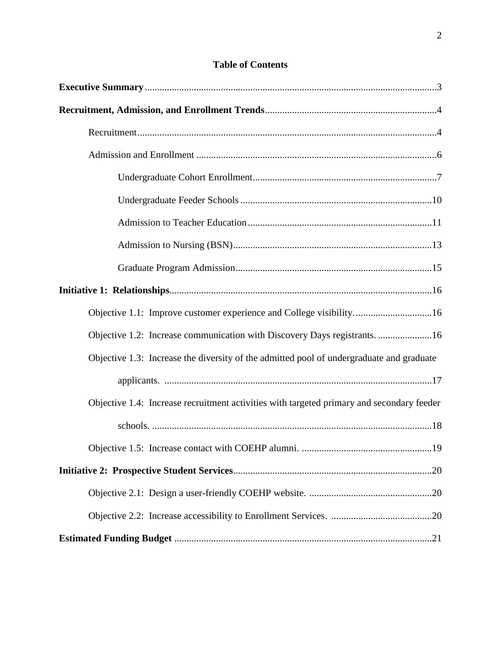| Objective 1.1: Improve customer experience and College visibility16                       |
|-------------------------------------------------------------------------------------------|
| Objective 1.2: Increase communication with Discovery Days registrants. 16                 |
| Objective 1.3: Increase the diversity of the admitted pool of undergraduate and graduate  |
|                                                                                           |
| Objective 1.4: Increase recruitment activities with targeted primary and secondary feeder |
|                                                                                           |
|                                                                                           |
|                                                                                           |
|                                                                                           |
|                                                                                           |
|                                                                                           |

## **Table of Contents**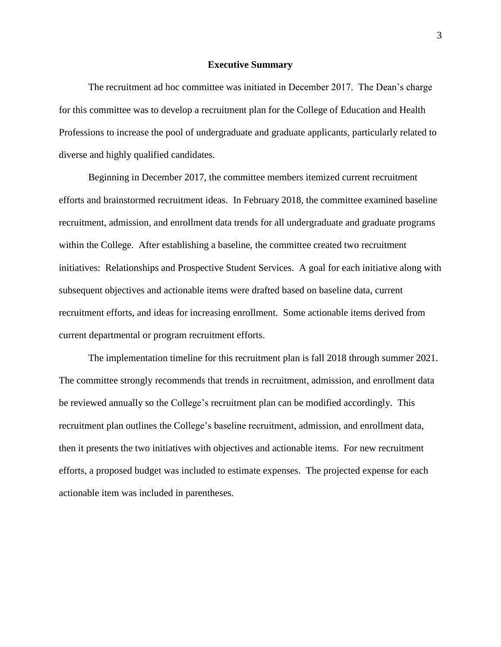#### **Executive Summary**

The recruitment ad hoc committee was initiated in December 2017. The Dean's charge for this committee was to develop a recruitment plan for the College of Education and Health Professions to increase the pool of undergraduate and graduate applicants, particularly related to diverse and highly qualified candidates.

 initiatives: Relationships and Prospective Student Services. A goal for each initiative along with Beginning in December 2017, the committee members itemized current recruitment efforts and brainstormed recruitment ideas. In February 2018, the committee examined baseline recruitment, admission, and enrollment data trends for all undergraduate and graduate programs within the College. After establishing a baseline, the committee created two recruitment subsequent objectives and actionable items were drafted based on baseline data, current recruitment efforts, and ideas for increasing enrollment. Some actionable items derived from current departmental or program recruitment efforts.

 be reviewed annually so the College's recruitment plan can be modified accordingly. This efforts, a proposed budget was included to estimate expenses. The projected expense for each The implementation timeline for this recruitment plan is fall 2018 through summer 2021. The committee strongly recommends that trends in recruitment, admission, and enrollment data recruitment plan outlines the College's baseline recruitment, admission, and enrollment data, then it presents the two initiatives with objectives and actionable items. For new recruitment actionable item was included in parentheses.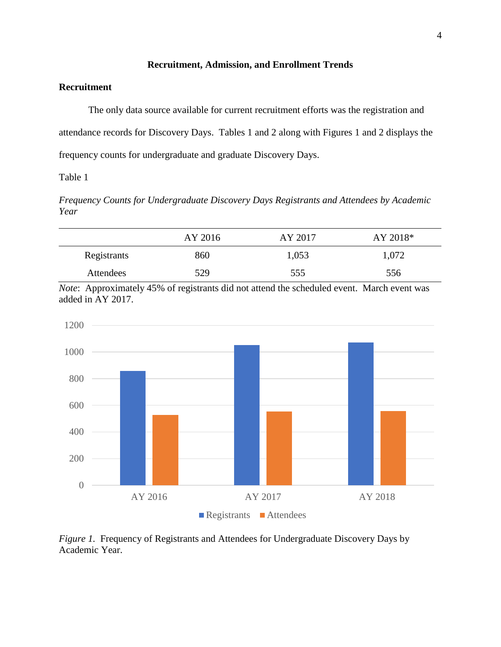### **Recruitment, Admission, and Enrollment Trends**

### **Recruitment**

The only data source available for current recruitment efforts was the registration and attendance records for Discovery Days. Tables 1 and 2 along with Figures 1 and 2 displays the frequency counts for undergraduate and graduate Discovery Days.

Table 1

*Frequency Counts for Undergraduate Discovery Days Registrants and Attendees by Academic Year* 

|             | AY 2016 | AY 2017 | AY 2018* |
|-------------|---------|---------|----------|
| Registrants | 860     | 1,053   | 1,072    |
| Attendees   | 529     | 555     | 556      |

*Note*: Approximately 45% of registrants did not attend the scheduled event. March event was added in AY 2017.



*Figure 1.* Frequency of Registrants and Attendees for Undergraduate Discovery Days by Academic Year.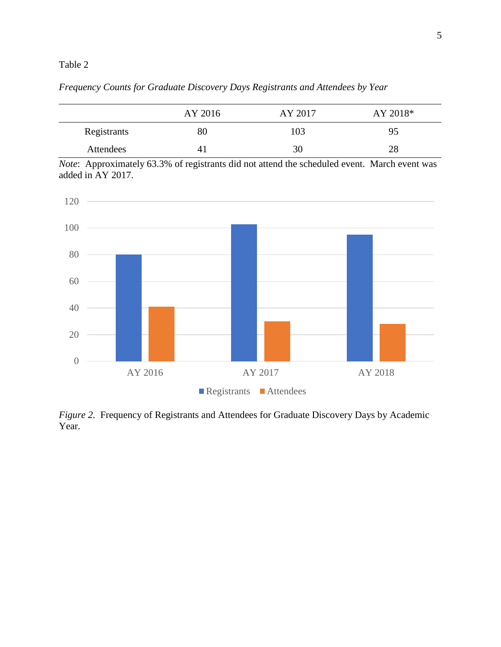### Table 2

*Frequency Counts for Graduate Discovery Days Registrants and Attendees by Year* 

|             | AY 2016 | AY 2017 | AY 2018* |
|-------------|---------|---------|----------|
| Registrants | 80      | 103     | 95       |
| Attendees   |         | 30      | 28       |

*Note*: Approximately 63.3% of registrants did not attend the scheduled event. March event was added in AY 2017.



*Figure 2.* Frequency of Registrants and Attendees for Graduate Discovery Days by Academic Year.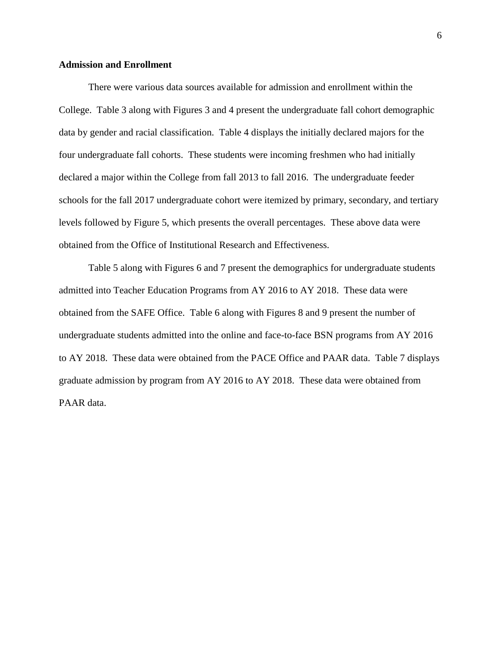### **Admission and Enrollment**

 declared a major within the College from fall 2013 to fall 2016. The undergraduate feeder levels followed by Figure 5, which presents the overall percentages. These above data were There were various data sources available for admission and enrollment within the College. Table 3 along with Figures 3 and 4 present the undergraduate fall cohort demographic data by gender and racial classification. Table 4 displays the initially declared majors for the four undergraduate fall cohorts. These students were incoming freshmen who had initially schools for the fall 2017 undergraduate cohort were itemized by primary, secondary, and tertiary obtained from the Office of Institutional Research and Effectiveness.

 to AY 2018. These data were obtained from the PACE Office and PAAR data. Table 7 displays graduate admission by program from AY 2016 to AY 2018. These data were obtained from Table 5 along with Figures 6 and 7 present the demographics for undergraduate students admitted into Teacher Education Programs from AY 2016 to AY 2018. These data were obtained from the SAFE Office. Table 6 along with Figures 8 and 9 present the number of undergraduate students admitted into the online and face-to-face BSN programs from AY 2016 PAAR data.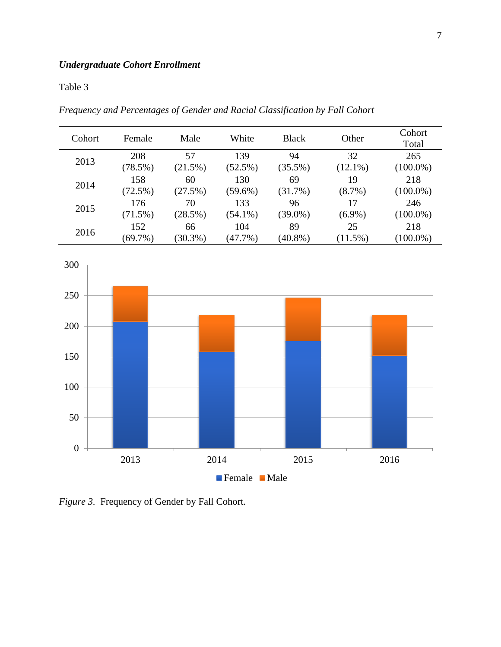## Table 3

*Frequency and Percentages of Gender and Racial Classification by Fall Cohort* 

| Cohort | Female     | Male       | White      | <b>Black</b> | Other      | Cohort<br>Total |
|--------|------------|------------|------------|--------------|------------|-----------------|
| 2013   | 208        | 57         | 139        | 94           | 32         | 265             |
|        | (78.5%)    | (21.5%)    | $(52.5\%)$ | $(35.5\%)$   | $(12.1\%)$ | $(100.0\%)$     |
| 2014   | 158        | 60         | 130        | 69           | 19         | 218             |
|        | (72.5%)    | (27.5%)    | $(59.6\%)$ | (31.7%)      | $(8.7\%)$  | $(100.0\%)$     |
| 2015   | 176        | 70         | 133        | 96           | 17         | 246             |
|        | $(71.5\%)$ | (28.5%)    | $(54.1\%)$ | $(39.0\%)$   | $(6.9\%)$  | $(100.0\%)$     |
| 2016   | 152        | 66         | 104        | 89           | 25         | 218             |
|        | $(69.7\%)$ | $(30.3\%)$ | (47.7%)    | $(40.8\%)$   | $(11.5\%)$ | $(100.0\%)$     |



*Figure 3.* Frequency of Gender by Fall Cohort.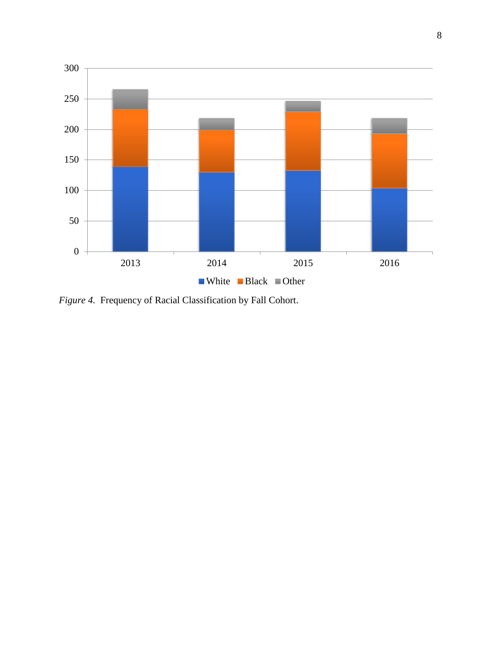

*Figure 4.* Frequency of Racial Classification by Fall Cohort.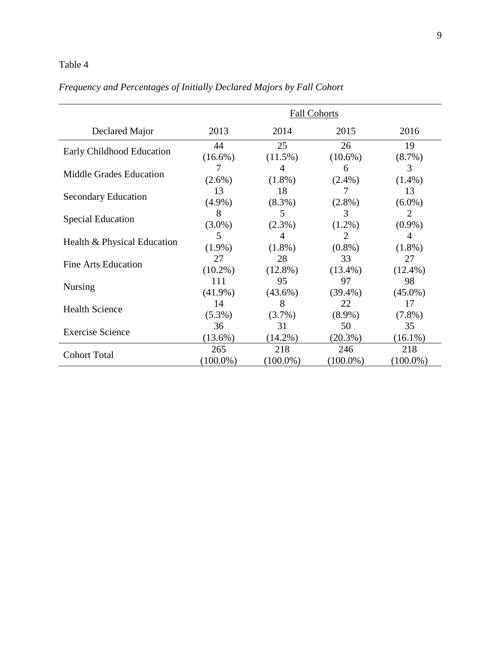### Table 4

|                                | <b>Fall Cohorts</b> |             |             |             |  |
|--------------------------------|---------------------|-------------|-------------|-------------|--|
| Declared Major                 | 2013                | 2014        | 2015        | 2016        |  |
| Early Childhood Education      | 44                  | 25          | 26          | 19          |  |
|                                | $(16.6\%)$          | $(11.5\%)$  | $(10.6\%)$  | $(8.7\%)$   |  |
| <b>Middle Grades Education</b> | 7                   | 4           | 6           | 3           |  |
|                                | $(2.6\%)$           | $(1.8\%)$   | $(2.4\%)$   | $(1.4\%)$   |  |
|                                | 13                  | 18          | 7           | 13          |  |
| <b>Secondary Education</b>     | $(4.9\%)$           | $(8.3\%)$   | $(2.8\%)$   | $(6.0\%)$   |  |
|                                | 8                   | 5           | 3           | 2           |  |
| <b>Special Education</b>       | $(3.0\%)$           | $(2.3\%)$   | $(1.2\%)$   | $(0.9\%)$   |  |
|                                | 5                   | 4           | 2           | 4           |  |
| Health & Physical Education    | $(1.9\%)$           | $(1.8\%)$   | $(0.8\%)$   | $(1.8\%)$   |  |
|                                | 27                  | 28          | 33          | 27          |  |
| <b>Fine Arts Education</b>     | $(10.2\%)$          | $(12.8\%)$  | $(13.4\%)$  | $(12.4\%)$  |  |
|                                | 111                 | 95          | 97          | 98          |  |
| <b>Nursing</b>                 | $(41.9\%)$          | $(43.6\%)$  | $(39.4\%)$  | $(45.0\%)$  |  |
|                                | 14                  | 8           | 22          | 17          |  |
| <b>Health Science</b>          | $(5.3\%)$           | $(3.7\%)$   | $(8.9\%)$   | $(7.8\%)$   |  |
|                                | 36                  | 31          | 50          | 35          |  |
| <b>Exercise Science</b>        | $(13.6\%)$          | $(14.2\%)$  | $(20.3\%)$  | $(16.1\%)$  |  |
|                                | 265                 | 218         | 246         | 218         |  |
| <b>Cohort Total</b>            | $(100.0\%)$         | $(100.0\%)$ | $(100.0\%)$ | $(100.0\%)$ |  |

# *Frequency and Percentages of Initially Declared Majors by Fall Cohort*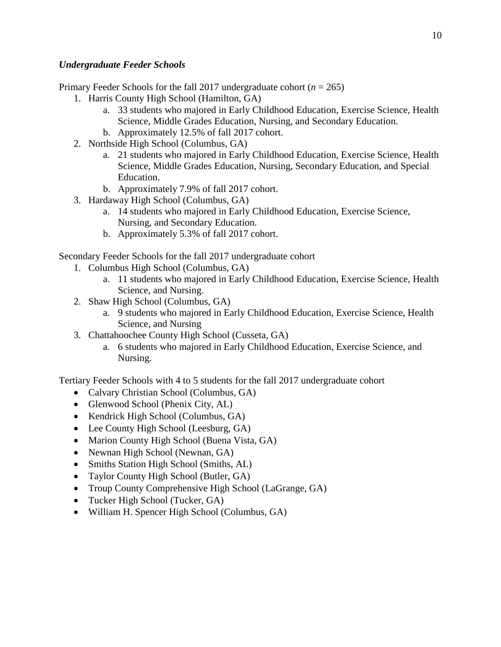### *Undergraduate Feeder Schools*

Primary Feeder Schools for the fall 2017 undergraduate cohort (*n* = 265)

- 1. Harris County High School (Hamilton, GA)
	- a. 33 students who majored in Early Childhood Education, Exercise Science, Health Science, Middle Grades Education, Nursing, and Secondary Education.
	- b. Approximately 12.5% of fall 2017 cohort.
- 2. Northside High School (Columbus, GA)
	- a. 21 students who majored in Early Childhood Education, Exercise Science, Health Science, Middle Grades Education, Nursing, Secondary Education, and Special Education.
	- b. Approximately 7.9% of fall 2017 cohort.
- 3. Hardaway High School (Columbus, GA)
	- a. 14 students who majored in Early Childhood Education, Exercise Science, Nursing, and Secondary Education.
	- b. Approximately 5.3% of fall 2017 cohort.

Secondary Feeder Schools for the fall 2017 undergraduate cohort

- 1. Columbus High School (Columbus, GA)
	- a. 11 students who majored in Early Childhood Education, Exercise Science, Health Science, and Nursing.
- 2. Shaw High School (Columbus, GA)
	- a. 9 students who majored in Early Childhood Education, Exercise Science, Health Science, and Nursing
- 3. Chattahoochee County High School (Cusseta, GA)
	- a. 6 students who majored in Early Childhood Education, Exercise Science, and Nursing.

Tertiary Feeder Schools with 4 to 5 students for the fall 2017 undergraduate cohort

- Calvary Christian School (Columbus, GA)
- Glenwood School (Phenix City, AL)
- Kendrick High School (Columbus, GA)
- Lee County High School (Leesburg, GA)
- Marion County High School (Buena Vista, GA)
- Newnan High School (Newnan, GA)
- Smiths Station High School (Smiths, AL)
- Taylor County High School (Butler, GA)
- Troup County Comprehensive High School (LaGrange, GA)
- Tucker High School (Tucker, GA)
- William H. Spencer High School (Columbus, GA)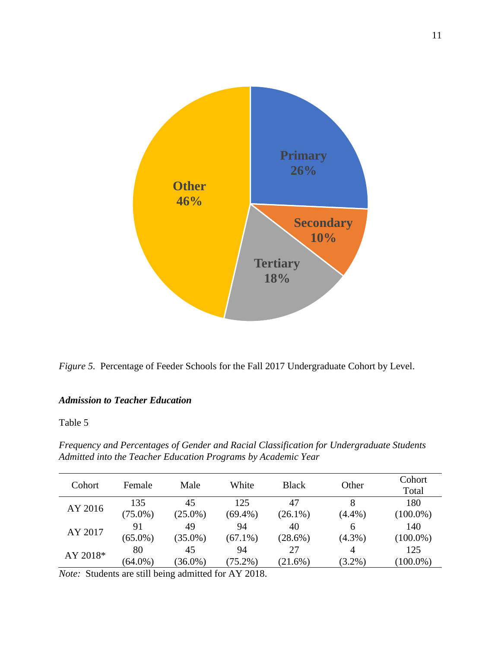



### *Admission to Teacher Education*

Table 5

*Frequency and Percentages of Gender and Racial Classification for Undergraduate Students Admitted into the Teacher Education Programs by Academic Year* 

| Cohort   | Female     | Male       | White      | <b>Black</b> | Other     | Cohort<br>Total |
|----------|------------|------------|------------|--------------|-----------|-----------------|
| AY 2016  | 135        | 45         | 125        | 47           | 8         | 180             |
|          | $(75.0\%)$ | $(25.0\%)$ | $(69.4\%)$ | $(26.1\%)$   | $(4.4\%)$ | $(100.0\%)$     |
| AY 2017  | 91         | 49         | 94         | 40           | 6         | 140             |
|          | $(65.0\%)$ | $(35.0\%)$ | $(67.1\%)$ | $(28.6\%)$   | $(4.3\%)$ | $(100.0\%)$     |
|          | 80         | 45         | 94         | 27           | 4         | 125             |
| AY 2018* | $(64.0\%)$ | $(36.0\%)$ | $(75.2\%)$ | (21.6%)      | $(3.2\%)$ | $(100.0\%)$     |
|          |            |            |            |              |           |                 |

*Note:* Students are still being admitted for AY 2018.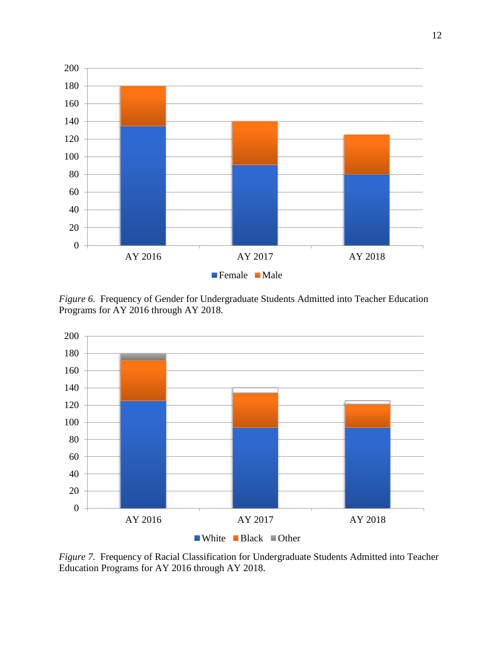

*Figure 6.* Frequency of Gender for Undergraduate Students Admitted into Teacher Education Programs for AY 2016 through AY 2018.



*Figure 7.* Frequency of Racial Classification for Undergraduate Students Admitted into Teacher Education Programs for AY 2016 through AY 2018.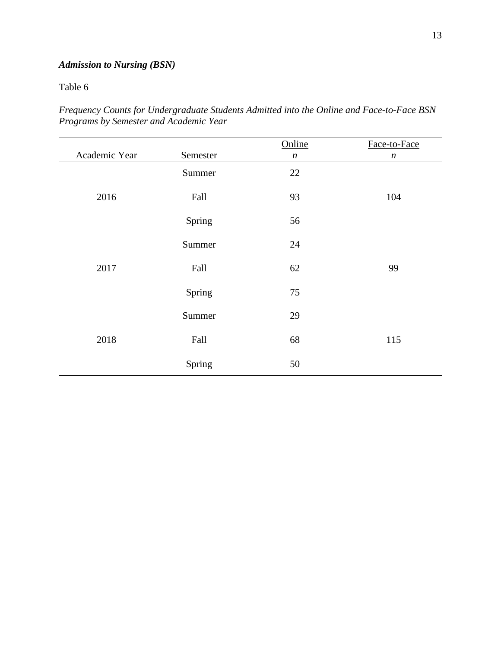# *Admission to Nursing (BSN)*

Table 6

| Frequency Counts for Undergraduate Students Admitted into the Online and Face-to-Face BSN |  |  |  |  |
|-------------------------------------------------------------------------------------------|--|--|--|--|
| Programs by Semester and Academic Year                                                    |  |  |  |  |

| Academic Year | Semester | Online           | Face-to-Face     |
|---------------|----------|------------------|------------------|
|               |          | $\boldsymbol{n}$ | $\boldsymbol{n}$ |
|               | Summer   | 22               |                  |
| 2016          | Fall     | 93               | 104              |
|               | Spring   | 56               |                  |
| 2017          | Summer   | $24\,$           |                  |
|               | Fall     | 62               | 99               |
|               | Spring   | 75               |                  |
| 2018          | Summer   | 29               |                  |
|               | Fall     | 68               | 115              |
|               | Spring   | 50               |                  |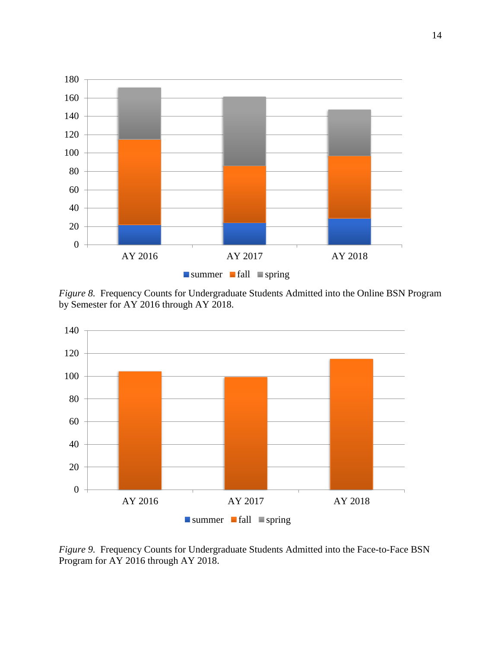

*Figure 8.* Frequency Counts for Undergraduate Students Admitted into the Online BSN Program by Semester for AY 2016 through AY 2018.



*Figure 9.* Frequency Counts for Undergraduate Students Admitted into the Face-to-Face BSN Program for AY 2016 through AY 2018.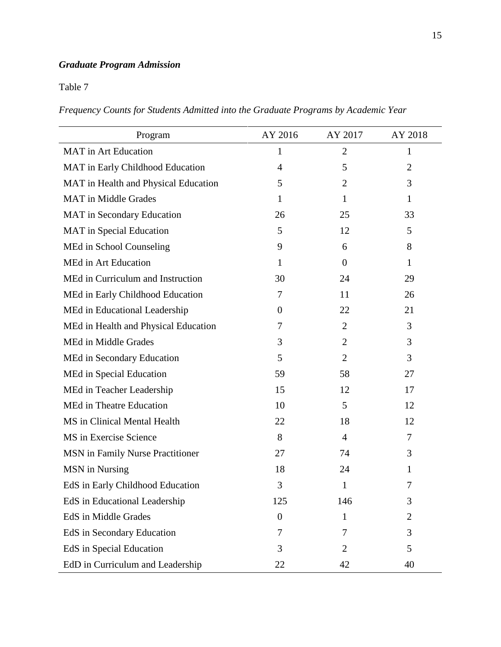# *Graduate Program Admission*

Table 7

*Frequency Counts for Students Admitted into the Graduate Programs by Academic Year* 

| Program                              | AY 2016        | AY 2017        | AY 2018        |
|--------------------------------------|----------------|----------------|----------------|
| <b>MAT</b> in Art Education          | 1              | $\overline{2}$ | 1              |
| MAT in Early Childhood Education     | $\overline{4}$ | 5              | $\overline{2}$ |
| MAT in Health and Physical Education | 5              | $\overline{2}$ | 3              |
| <b>MAT</b> in Middle Grades          | 1              | 1              | $\mathbf{1}$   |
| MAT in Secondary Education           | 26             | 25             | 33             |
| <b>MAT</b> in Special Education      | 5              | 12             | 5              |
| MEd in School Counseling             | 9              | 6              | 8              |
| <b>MEd in Art Education</b>          | $\mathbf{1}$   | $\theta$       | $\mathbf{1}$   |
| MEd in Curriculum and Instruction    | 30             | 24             | 29             |
| MEd in Early Childhood Education     | 7              | 11             | 26             |
| MEd in Educational Leadership        | $\theta$       | 22             | 21             |
| MEd in Health and Physical Education | 7              | $\overline{2}$ | 3              |
| MEd in Middle Grades                 | 3              | $\overline{2}$ | 3              |
| MEd in Secondary Education           | 5              | $\overline{2}$ | 3              |
| MEd in Special Education             | 59             | 58             | 27             |
| MEd in Teacher Leadership            | 15             | 12             | 17             |
| MEd in Theatre Education             | 10             | 5              | 12             |
| MS in Clinical Mental Health         | 22             | 18             | 12             |
| MS in Exercise Science               | 8              | $\overline{4}$ | 7              |
| MSN in Family Nurse Practitioner     | 27             | 74             | 3              |
| MSN in Nursing                       | 18             | 24             | 1              |
| EdS in Early Childhood Education     | 3              | 1              | 7              |
| EdS in Educational Leadership        | 125            | 146            | 3              |
| EdS in Middle Grades                 | $\overline{0}$ | 1              | 2              |
| EdS in Secondary Education           | 7              | 7              | 3              |
| EdS in Special Education             | 3              | $\overline{2}$ | 5              |
| EdD in Curriculum and Leadership     | 22             | 42             | 40             |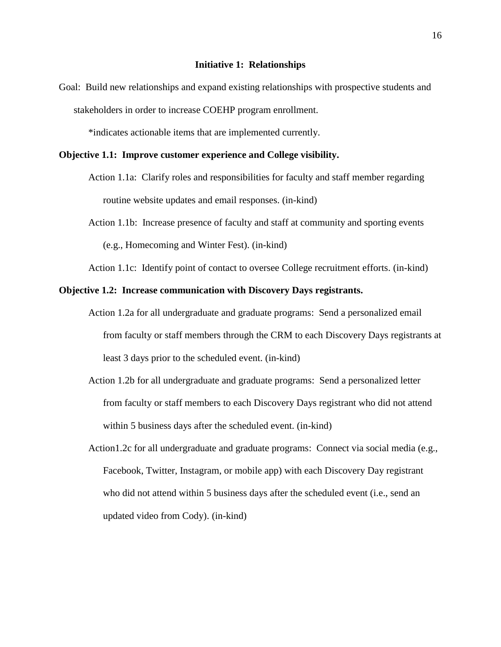Goal: Build new relationships and expand existing relationships with prospective students and stakeholders in order to increase COEHP program enrollment.

\*indicates actionable items that are implemented currently.

#### **Objective 1.1: Improve customer experience and College visibility.**

- Action 1.1a: Clarify roles and responsibilities for faculty and staff member regarding routine website updates and email responses. (in-kind)
- Action 1.1b: Increase presence of faculty and staff at community and sporting events (e.g., Homecoming and Winter Fest). (in-kind)

Action 1.1c: Identify point of contact to oversee College recruitment efforts. (in-kind)

### **Objective 1.2: Increase communication with Discovery Days registrants.**

- Action 1.2a for all undergraduate and graduate programs: Send a personalized email from faculty or staff members through the CRM to each Discovery Days registrants at least 3 days prior to the scheduled event. (in-kind)
- Action 1.2b for all undergraduate and graduate programs: Send a personalized letter from faculty or staff members to each Discovery Days registrant who did not attend within 5 business days after the scheduled event. (in-kind)
- [Action1.2c](https://Action1.2c) for all undergraduate and graduate programs: Connect via social media (e.g., Facebook, Twitter, Instagram, or mobile app) with each Discovery Day registrant who did not attend within 5 business days after the scheduled event (i.e., send an updated video from Cody). (in-kind)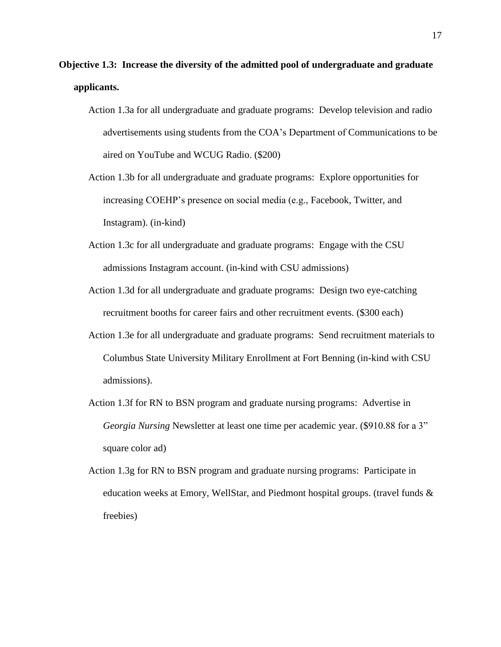- **Objective 1.3: Increase the diversity of the admitted pool of undergraduate and graduate applicants.** 
	- Action 1.3a for all undergraduate and graduate programs: Develop television and radio advertisements using students from the COA's Department of Communications to be aired on YouTube and WCUG Radio. (\$200)
	- Action 1.3b for all undergraduate and graduate programs: Explore opportunities for increasing COEHP's presence on social media (e.g., Facebook, Twitter, and Instagram). (in-kind)
	- Action 1.3c for all undergraduate and graduate programs: Engage with the CSU admissions Instagram account. (in-kind with CSU admissions)
	- Action 1.3d for all undergraduate and graduate programs: Design two eye-catching recruitment booths for career fairs and other recruitment events. (\$300 each)
	- Action 1.3e for all undergraduate and graduate programs: Send recruitment materials to Columbus State University Military Enrollment at Fort Benning (in-kind with CSU admissions).
	- Action 1.3f for RN to BSN program and graduate nursing programs: Advertise in *Georgia Nursing* Newsletter at least one time per academic year. (\$910.88 for a 3" square color ad)
	- Action 1.3g for RN to BSN program and graduate nursing programs: Participate in education weeks at Emory, WellStar, and Piedmont hospital groups. (travel funds & freebies)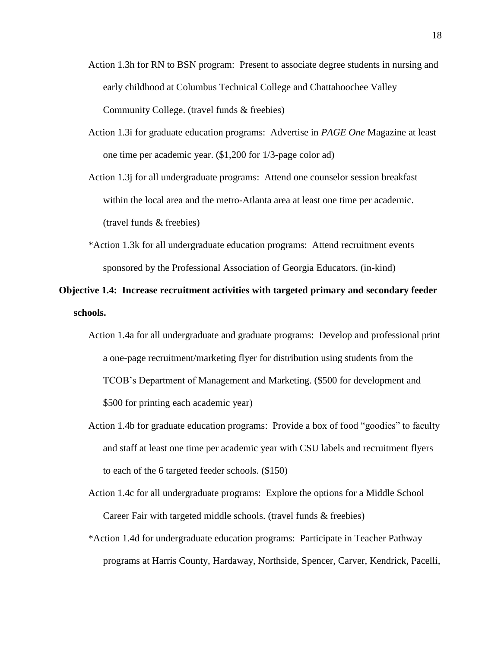- Action 1.3h for RN to BSN program: Present to associate degree students in nursing and early childhood at Columbus Technical College and Chattahoochee Valley Community College. (travel funds & freebies)
- Action 1.3i for graduate education programs: Advertise in *PAGE One* Magazine at least one time per academic year. (\$1,200 for 1/3-page color ad)

Action 1.3j for all undergraduate programs: Attend one counselor session breakfast within the local area and the metro-Atlanta area at least one time per academic. (travel funds & freebies)

\*Action 1.3k for all undergraduate education programs: Attend recruitment events sponsored by the Professional Association of Georgia Educators. (in-kind)

# **Objective 1.4: Increase recruitment activities with targeted primary and secondary feeder schools.**

- Action 1.4a for all undergraduate and graduate programs: Develop and professional print a one-page recruitment/marketing flyer for distribution using students from the TCOB's Department of Management and Marketing. (\$500 for development and \$500 for printing each academic year)
- Action 1.4b for graduate education programs: Provide a box of food "goodies" to faculty and staff at least one time per academic year with CSU labels and recruitment flyers to each of the 6 targeted feeder schools. (\$150)
- Action 1.4c for all undergraduate programs: Explore the options for a Middle School Career Fair with targeted middle schools. (travel funds & freebies)
- \*Action 1.4d for undergraduate education programs: Participate in Teacher Pathway programs at Harris County, Hardaway, Northside, Spencer, Carver, Kendrick, Pacelli,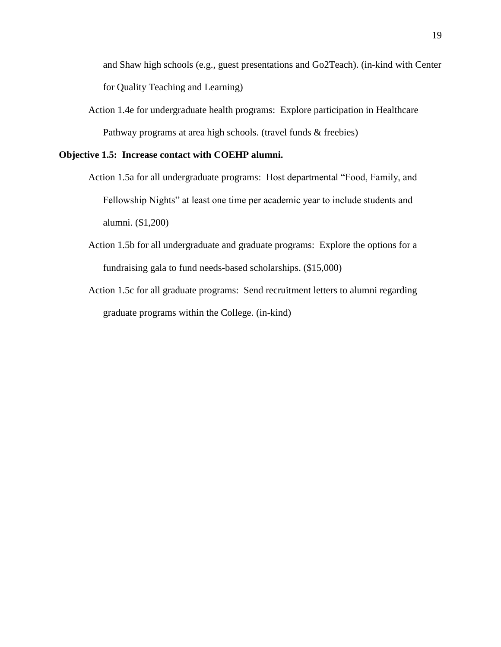and Shaw high schools (e.g., guest presentations and Go2Teach). (in-kind with Center for Quality Teaching and Learning)

Action 1.4e for undergraduate health programs: Explore participation in Healthcare Pathway programs at area high schools. (travel funds & freebies)

### **Objective 1.5: Increase contact with COEHP alumni.**

- Action 1.5a for all undergraduate programs: Host departmental "Food, Family, and Fellowship Nights" at least one time per academic year to include students and alumni. (\$1,200)
- Action 1.5b for all undergraduate and graduate programs: Explore the options for a fundraising gala to fund needs-based scholarships. (\$15,000)
- Action 1.5c for all graduate programs: Send recruitment letters to alumni regarding graduate programs within the College. (in-kind)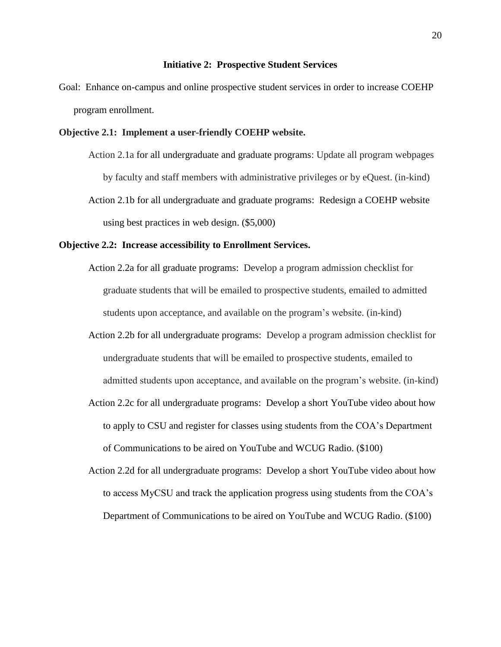#### **Initiative 2: Prospective Student Services**

Goal: Enhance on-campus and online prospective student services in order to increase COEHP program enrollment.

### **Objective 2.1: Implement a user-friendly COEHP website.**

Action 2.1a for all undergraduate and graduate programs: Update all program webpages by faculty and staff members with administrative privileges or by eQuest. (in-kind) Action 2.1b for all undergraduate and graduate programs: Redesign a COEHP website using best practices in web design. (\$5,000)

#### **Objective 2.2: Increase accessibility to Enrollment Services.**

- Action 2.2a for all graduate programs: Develop a program admission checklist for graduate students that will be emailed to prospective students, emailed to admitted students upon acceptance, and available on the program's website. (in-kind)
- Action 2.2b for all undergraduate programs: Develop a program admission checklist for undergraduate students that will be emailed to prospective students, emailed to admitted students upon acceptance, and available on the program's website. (in-kind)
- Action 2.2c for all undergraduate programs: Develop a short YouTube video about how to apply to CSU and register for classes using students from the COA's Department of Communications to be aired on YouTube and WCUG Radio. (\$100)
- Action 2.2d for all undergraduate programs: Develop a short YouTube video about how to access MyCSU and track the application progress using students from the COA's Department of Communications to be aired on YouTube and WCUG Radio. (\$100)